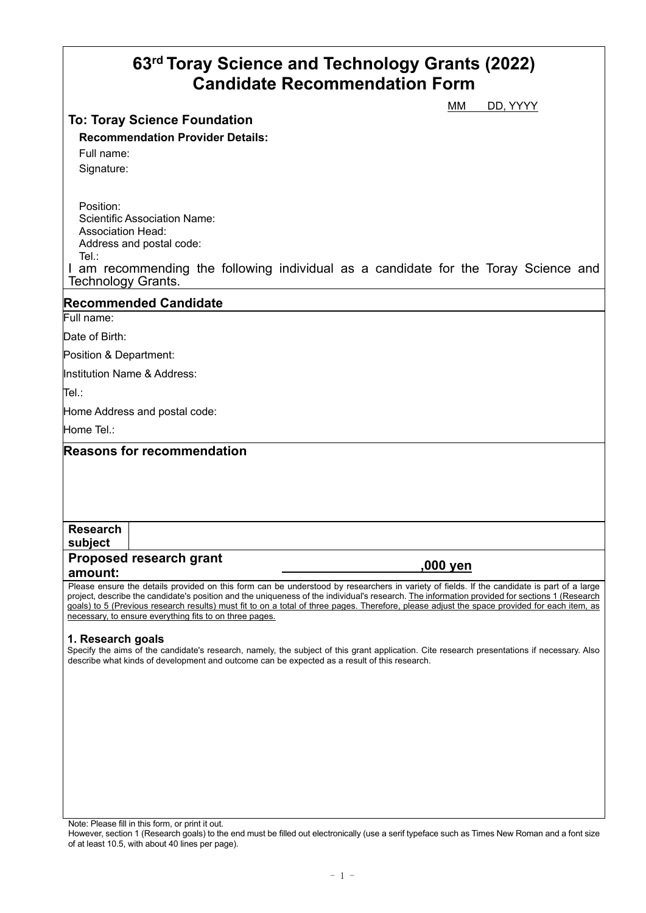# **63rd Toray Science and Technology Grants (2022) Candidate Recommendation Form**

# **To: Toray Science Foundation**

MM DD, YYYY

# **Recommendation Provider Details:**

Full name:

Signature:

Position: Scientific Association Name: Association Head: Address and postal code: Tel.:

I am recommending the following individual as a candidate for the Toray Science and Technology Grants.

## **Recommended Candidate**

Full name:

Date of Birth:

Position & Department:

Institution Name & Address:

Tel.:

Home Address and postal code:

Home Tel.:

**Reasons for recommendation**

#### **Research subject**

# **Proposed research grant amount: ,000 yen**

Please ensure the details provided on this form can be understood by researchers in variety of fields. If the candidate is part of a large project, describe the candidate's position and the uniqueness of the individual's research. The information provided for sections 1 (Research goals) to 5 (Previous research results) must fit to on a total of three pages. Therefore, please adjust the space provided for each item, as necessary, to ensure everything fits to on three pages.

#### **1. Research goals**

Specify the aims of the candidate's research, namely, the subject of this grant application. Cite research presentations if necessary. Also describe what kinds of development and outcome can be expected as a result of this research.

Note: Please fill in this form, or print it out.

However, section 1 (Research goals) to the end must be filled out electronically (use a serif typeface such as Times New Roman and a font size of at least 10.5, with about 40 lines per page).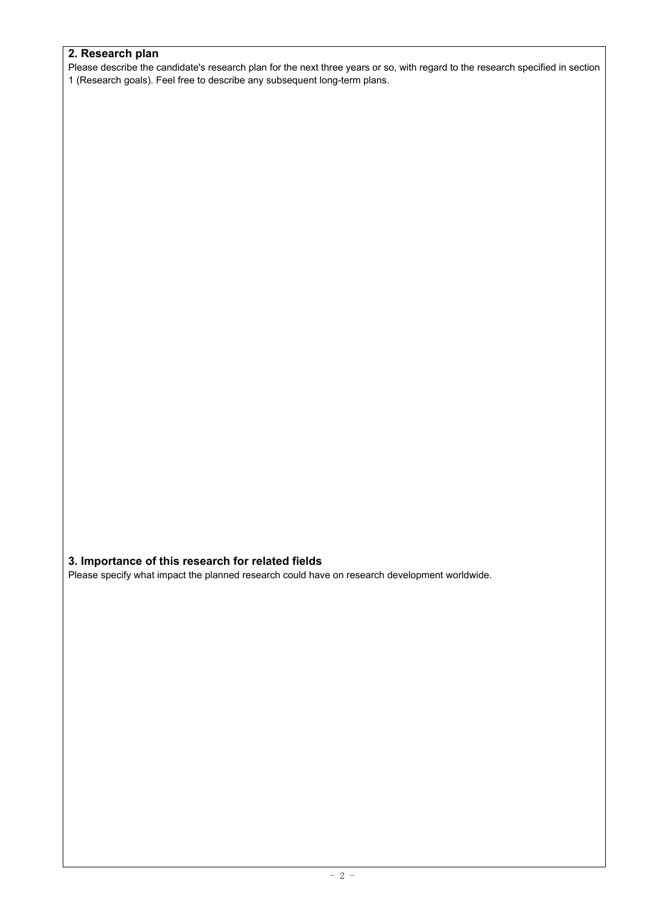#### **2. Research plan**

Please describe the candidate's research plan for the next three years or so, with regard to the research specified in section 1 (Research goals). Feel free to describe any subsequent long-term plans.

### **3. Importance of this research for related fields**

Please specify what impact the planned research could have on research development worldwide.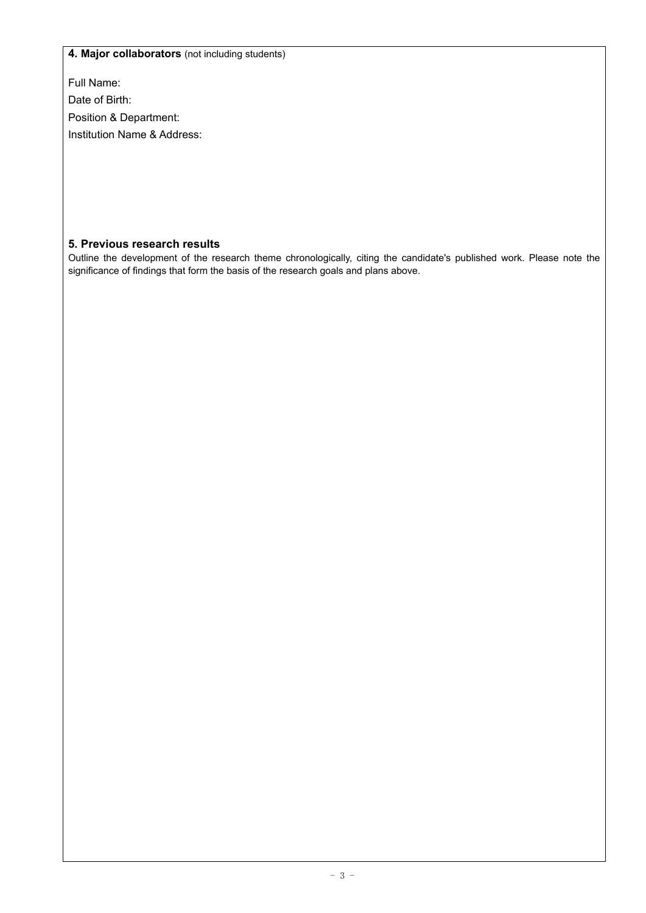#### **4. Major collaborators** (not including students)

Full Name:

Date of Birth:

Position & Department:

Institution Name & Address:

### **5. Previous research results**

Outline the development of the research theme chronologically, citing the candidate's published work. Please note the significance of findings that form the basis of the research goals and plans above.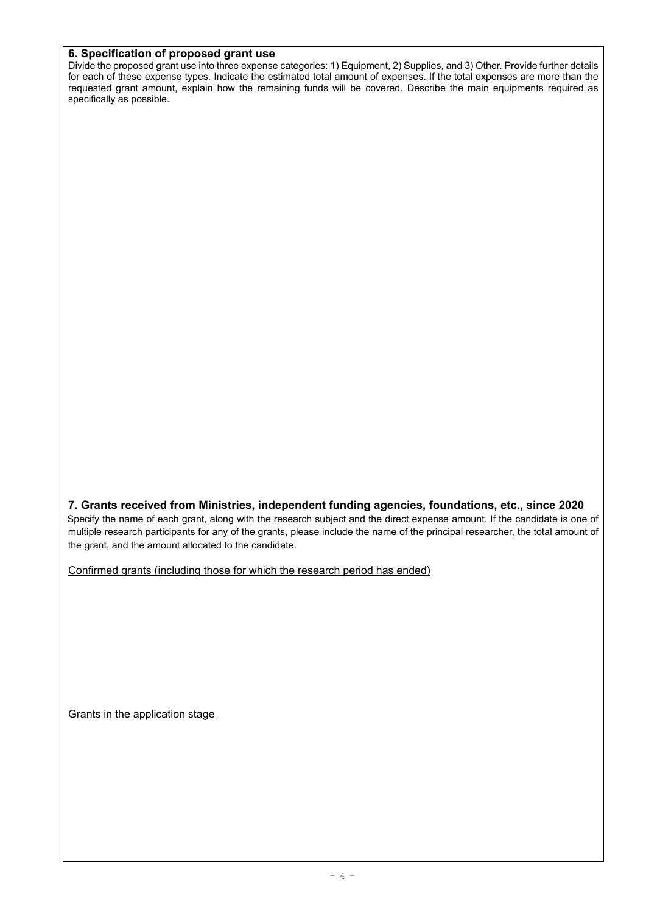#### **6. Specification of proposed grant use**

Divide the proposed grant use into three expense categories: 1) Equipment, 2) Supplies, and 3) Other. Provide further details for each of these expense types. Indicate the estimated total amount of expenses. If the total expenses are more than the requested grant amount, explain how the remaining funds will be covered. Describe the main equipments required as specifically as possible.

**7. Grants received from Ministries, independent funding agencies, foundations, etc., since 2020**  Specify the name of each grant, along with the research subject and the direct expense amount. If the candidate is one of multiple research participants for any of the grants, please include the name of the principal researcher, the total amount of the grant, and the amount allocated to the candidate.

Confirmed grants (including those for which the research period has ended)

Grants in the application stage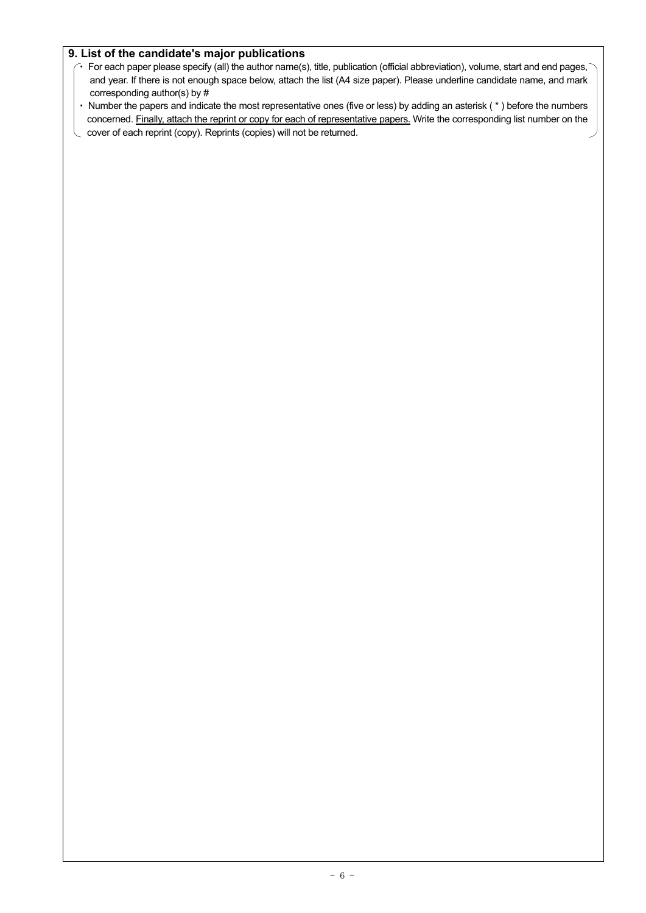#### **9. List of the candidate's major publications**

- For each paper please specify (all) the author name(s), title, publication (official abbreviation), volume, start and end pages,  $\overline{\ }$ and year. If there is not enough space below, attach the list (A4 size paper). Please underline candidate name, and mark corresponding author(s) by #
- Number the papers and indicate the most representative ones (five or less) by adding an asterisk (\*) before the numbers concerned. Finally, attach the reprint or copy for each of representative papers. Write the corresponding list number on the
- cover of each reprint (copy). Reprints (copies) will not be returned.